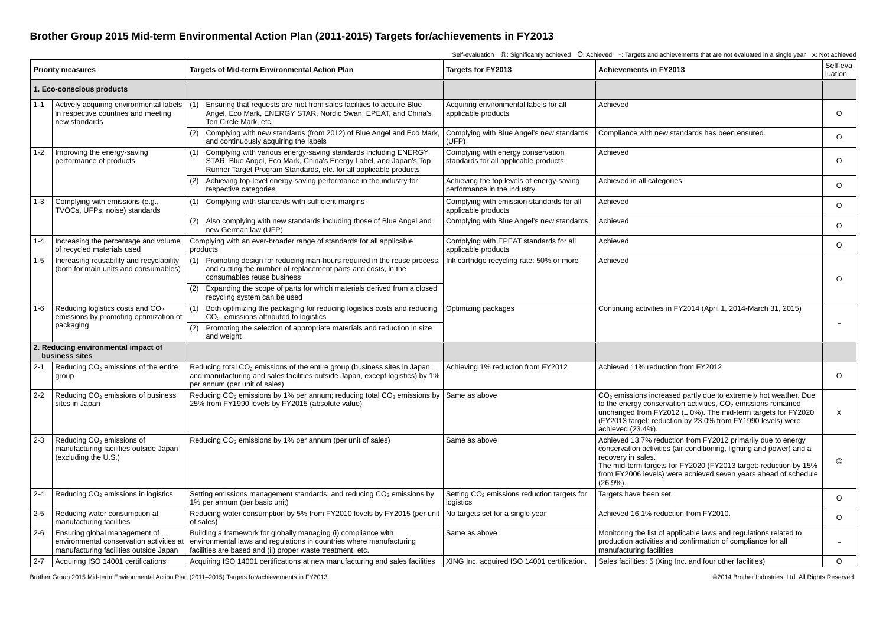## **Brother Group 2015 Mid-term Environmental Action Plan (2011-2015) Targets for/achievements in FY2013**

**Priority measures examples and Targets of Mid-term Environmental Action Plan and Targets for FY2013 Achievements in FY2013 Self-eva luation 1. Eco-conscious products**  1-1 Actively acquiring environmental labels in respective countries and meeting new standards (1) Ensuring that requests are met from sales facilities to acquire Blue Angel, Eco Mark, ENERGY STAR, Nordic Swan, EPEAT, and China's Ten Circle Mark, etc. Acquiring environmental labels for all applicable products Achieved O(2) Complying with new standards (from 2012) of Blue Angel and Eco Mark, and continuously acquiring the labels Complying with Blue Angel's new standards (UFP) Compliance with new standards has been ensured. O1-2 Improving the energy-saving performance of products (1) Complying with various energy-saving standards including ENERGY STAR, Blue Angel, Eco Mark, China's Energy Label, and Japan's Top Runner Target Program Standards, etc. for all applicable products Complying with energy conservation standards for all applicable products Achieved O(2) Achieving top-level energy-saving performance in the industry for respective categories Achieving the top levels of energy-saving performance in the industry Achieved in all categories  $\Omega$ 1-3 Complying with emissions (e.g., TVOCs, UFPs, noise) standards (1) Complying with standards with sufficient margins Complying with emission standards for all applicable products Achieved  $\Omega$ (2) Also complying with new standards including those of Blue Angel and new German law (UFP) Complying with Blue Angel's new standards  $\Box$  Achieved O1-4 Increasing the percentage and volume of recycled materials used Complying with an ever-broader range of standards for all applicable products Complying with EPEAT standards for all applicable products Achieved  $\Omega$ 1-5 Increasing reusability and recyclability (both for main units and consumables) (1) Promoting design for reducing man-hours required in the reuse process, and cutting the number of replacement parts and costs, in the consumables reuse business Ink cartridge recycling rate: 50% or more Achieved O(2) Expanding the scope of parts for which materials derived from a closed recycling system can be used 1-6 Reducing logistics costs and  $CO<sub>2</sub>$  emissions by promoting optimization of packaging Both optimizing the packaging for reducing logistics costs and reducing CO<sub>2</sub> emissions attributed to logistics Optimizing packages Continuing activities in FY2014 (April 1, 2014-March 31, 2015) - (2) Promoting the selection of appropriate materials and reduction in size and weight **2. Reducing environmental impact of business sites** 2-1 Reducing  $CO<sub>2</sub>$  emissions of the entire group Reducing total  $CO<sub>2</sub>$  emissions of the entire group (business sites in Japan, and manufacturing and sales facilities outside Japan, except logistics) by 1% per annum (per unit of sales) Achieving 1% reduction from FY2012 Achieved 11% reduction from FY2012 O2-2 Reducing  $CO<sub>2</sub>$  emissions of business sites in Japan Reducing  $CO<sub>2</sub>$  emissions by 1% per annum; reducing total  $CO<sub>2</sub>$  emissions by 25% from FY1990 levels by FY2015 (absolute value) Same as above Same as above CO<sub>2</sub> emissions increased partly due to extremely hot weather. Due to the energy conservation activities,  $CO<sub>2</sub>$  emissions remained unchanged from FY2012  $(\pm 0\%)$ . The mid-term targets for FY2020 (FY2013 target: reduction by 23.0% from FY1990 levels) were achieved (23.4%). x2-3 Reducing  $CO<sub>2</sub>$  emissions of manufacturing facilities outside Japan (excluding the U.S.) Reducing CO<sub>2</sub> emissions by 1% per annum (per unit of sales) Same as above Achieved 13.7% reduction from FY2012 primarily due to energy conservation activities (air conditioning, lighting and power) and a recovery in sales. The mid-term targets for FY2020 (FY2013 target: reduction by 15% from FY2006 levels) were achieved seven years ahead of schedule  $(26.9\%)$ ◎2-4 Reducing CO<sub>2</sub> emissions in logistics Setting emissions management standards, and reducing CO<sub>2</sub> emissions by 1% per annum (per basic unit) Setting CO<sub>2</sub> emissions reduction targets for logistics Targets have been set.  $\Omega$ 2-5 Reducing water consumption at manufacturing facilities Reducing water consumption by 5% from FY2010 levels by FY2015 (per unit of sales) No targets set for a single year <br>Achieved 16.1% reduction from FY2010. O2-6 Ensuring global management of environmental conservation activities at manufacturing facilities outside Japan Building a framework for globally managing (i) compliance with environmental laws and regulations in countries where manufacturing facilities are based and (ii) proper waste treatment, etc. Same as above Monitoring the list of applicable laws and regulations related to production activities and confirmation of compliance for all manufacturing facilities - 2-7 Acquiring ISO 14001 certifications Acquiring ISO 14001 certifications at new manufacturing and sales facilities XING Inc. acquired ISO 14001 certification. Sales facilities: 5 (Xing Inc. and four other facilities) O

Self-evaluation ©: Significantly achieved O: Achieved -: Targets and achievements that are not evaluated in a single year x: Not achieved